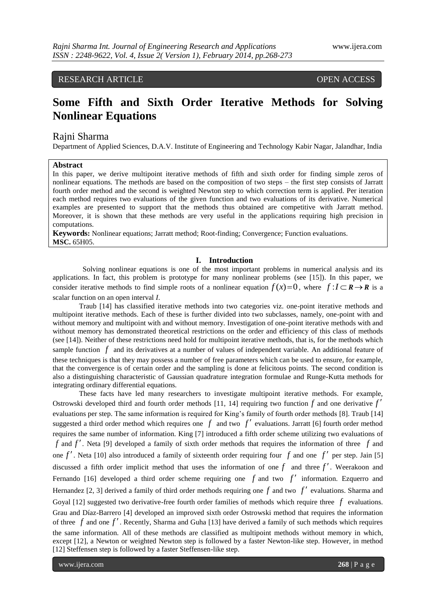# RESEARCH ARTICLE OPEN ACCESS

# **Some Fifth and Sixth Order Iterative Methods for Solving Nonlinear Equations**

# Rajni Sharma

Department of Applied Sciences, D.A.V. Institute of Engineering and Technology Kabir Nagar, Jalandhar, India

# **Abstract**

In this paper, we derive multipoint iterative methods of fifth and sixth order for finding simple zeros of nonlinear equations. The methods are based on the composition of two steps – the first step consists of Jarratt fourth order method and the second is weighted Newton step to which correction term is applied. Per iteration each method requires two evaluations of the given function and two evaluations of its derivative. Numerical examples are presented to support that the methods thus obtained are competitive with Jarratt method. Moreover, it is shown that these methods are very useful in the applications requiring high precision in computations.

**Keywords:** Nonlinear equations; Jarratt method; Root-finding; Convergence; Function evaluations. **MSC.** 65H05.

# **I. Introduction**

Solving nonlinear equations is one of the most important problems in numerical analysis and its applications. In fact, this problem is prototype for many nonlinear problems (see [15]). In this paper, we consider iterative methods to find simple roots of a nonlinear equation  $f(x)=0$ , where  $f: I \subset \mathbb{R} \to \mathbb{R}$  is a scalar function on an open interval *I*.

Traub [14] has classified iterative methods into two categories viz. one-point iterative methods and multipoint iterative methods. Each of these is further divided into two subclasses, namely, one-point with and without memory and multipoint with and without memory. Investigation of one-point iterative methods with and without memory has demonstrated theoretical restrictions on the order and efficiency of this class of methods (see [14]). Neither of these restrictions need hold for multipoint iterative methods, that is, for the methods which sample function  $f$  and its derivatives at a number of values of independent variable. An additional feature of these techniques is that they may possess a number of free parameters which can be used to ensure, for example, that the convergence is of certain order and the sampling is done at felicitous points. The second condition is also a distinguishing characteristic of Gaussian quadrature integration formulae and Runge-Kutta methods for integrating ordinary differential equations.

These facts have led many researchers to investigate multipoint iterative methods. For example, Ostrowski developed third and fourth order methods [11, 14] requiring two function  $f$  and one derivative  $f'$ evaluations per step. The same information is required for King's family of fourth order methods [8]. Traub [14] suggested a third order method which requires one  $f$  and two  $f'$  evaluations. Jarratt [6] fourth order method requires the same number of information. King [7] introduced a fifth order scheme utilizing two evaluations of *f* and *f* . Neta [9] developed a family of sixth order methods that requires the information of three *f* and one  $f'$ . Neta [10] also introduced a family of sixteenth order requiring four  $f$  and one  $f'$  per step. Jain [5] discussed a fifth order implicit method that uses the information of one  $f$  and three  $f'$ . Weerakoon and Fernando [16] developed a third order scheme requiring one  $f$  and two  $f'$  information. Ezquerro and Hernandez [2, 3] derived a family of third order methods requiring one  $f$  and two  $f'$  evaluations. Sharma and Goyal [12] suggested two derivative-free fourth order families of methods which require three  $f$  evaluations. Grau and Díaz-Barrero [4] developed an improved sixth order Ostrowski method that requires the information of three  $f$  and one  $f'$ . Recently, Sharma and Guha [13] have derived a family of such methods which requires the same information. All of these methods are classified as multipoint methods without memory in which, except [12], a Newton or weighted Newton step is followed by a faster Newton-like step. However, in method [12] Steffensen step is followed by a faster Steffensen-like step.

www.ijera.com **268** | P a g e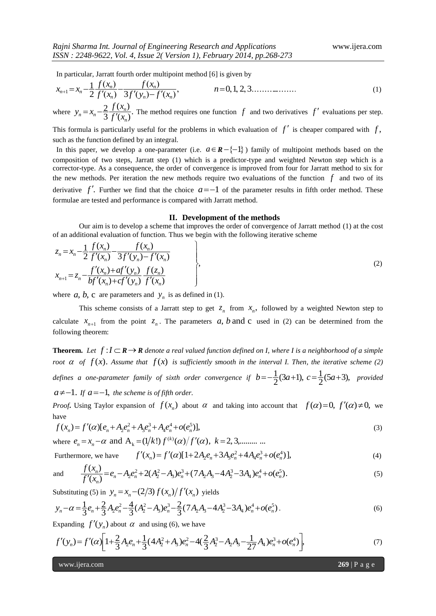In particular, Jarratt fourth order multipoint method [6] is given by

$$
x_{n+1} = x_n - \frac{1}{2} \frac{f(x_n)}{f'(x_n)} - \frac{f(x_n)}{3f'(x_n) - f'(x_n)},
$$
  
\n
$$
n = 0, 1, 2, 3, \dots
$$
  
\n
$$
n = 0, 1, 2, 3, \dots
$$
  
\n(1)

where  $y_n = x_n - \frac{2}{3} \frac{f(x_n)}{f'(x_n)}$ . 3 2 *n*  $x_n = x_n - \frac{2}{3} \frac{J(x_n)}{f'(x_n)}$  $y_n = x_n - \frac{2}{3} \frac{f(x_n)}{f'(x_n)}$ . The method requires one function  $f$  and two derivatives  $f'$  evaluations per step.

This formula is particularly useful for the problems in which evaluation of  $f'$  is cheaper compared with  $f$ , such as the function defined by an integral.

In this paper, we develop a one-parameter (i.e.  $a \in \mathbb{R} - \{-1\}$ ) family of multipoint methods based on the composition of two steps, Jarratt step (1) which is a predictor-type and weighted Newton step which is a corrector-type. As a consequence, the order of convergence is improved from four for Jarratt method to six for the new methods. Per iteration the new methods require two evaluations of the function  $f$  and two of its derivative  $f'$ . Further we find that the choice  $a=-1$  of the parameter results in fifth order method. These formulae are tested and performance is compared with Jarratt method.

#### **II. Development of the methods**

Our aim is to develop a scheme that improves the order of convergence of Jarratt method (1) at the cost of an additional evaluation of function. Thus we begin with the following iterative scheme

$$
z_{n} = x_{n} - \frac{1}{2} \frac{f(x_{n})}{f'(x_{n})} - \frac{f(x_{n})}{3f'(y_{n}) - f'(x_{n})}
$$
  
\n
$$
x_{n+1} = z_{n} - \frac{f'(x_{n}) + af'(y_{n})}{bf'(x_{n}) + cf'(y_{n})} \frac{f(z_{n})}{f'(x_{n})}
$$
\n(2)

where  $a, b, c$  are parameters and  $y_n$  is as defined in (1).

This scheme consists of a Jarratt step to get  $z_n$  from  $x_n$ , followed by a weighted Newton step to calculate  $x_{n+1}$  from the point  $z_n$ . The parameters a, b and c used in (2) can be determined from the following theorem:

**Theorem.** Let  $f: I \subset \mathbb{R} \to \mathbb{R}$  denote a real valued function defined on I, where I is a neighborhood of a simple *root*  $\alpha$  *of*  $f(x)$ . Assume that  $f(x)$  is sufficiently smooth in the interval I. Then, the iterative scheme (2) defines a one-parameter family of sixth order convergence if  $b = -\frac{1}{2}(3a+1)$ ,  $c = \frac{1}{2}(5a+3)$ , provided  $a \neq -1$ . If  $a = -1$ , the scheme is of fifth order.

*Proof***.** Using Taylor expansion of  $f(x_n)$  about  $\alpha$  and taking into account that  $f(\alpha)=0$ ,  $f'(\alpha)\neq 0$ , we have

$$
f(x_n) = f'(\alpha)[e_n + A_2e_n^2 + A_3e_n^3 + A_4e_n^4 + o(e_n^5)],
$$
\n(3)

where 
$$
e_n = x_n - \alpha
$$
 and  $A_k = (1/k!) f^{(k)}(\alpha) / f'(\alpha)$ ,  $k = 2, 3, \dots$ 

Furthermore, we have  $f'(x_n) = f'(a)[1+2A_2e_n + 3A_3e_n^2 + 4A_4e_n^3 + o(e_n^4)],$  (4)

and 
$$
\frac{f(x_n)}{f'(x_n)} = e_n - A_2 e_n^2 + 2(A_2^2 - A_3)e_n^3 + (7A_2A_3 - 4A_2^3 - 3A_4)e_n^4 + o(e_n^5).
$$
 (5)

Substituting (5) in  $y_n = x_n - \frac{2}{3} f(x_n) / f'(x_n)$  yields

$$
y_n - \alpha = \frac{1}{3}e_n + \frac{2}{3}A_2e_n^2 - \frac{4}{3}(A_2^2 - A_3)e_n^3 - \frac{2}{3}(7A_2A_3 - 4A_2^3 - 3A_4)e_n^4 + o(e_n^5)
$$
 (6)

Expanding  $f'(y_n)$  about  $\alpha$  and using (6), we have

$$
f'(y_n) = f'(\alpha) \left[ 1 + \frac{2}{3} A_2 e_n + \frac{1}{3} (4 A_2^2 + A_3) e_n^2 - 4(\frac{2}{3} A_2^3 - A_2 A_3 - \frac{1}{27} A_4) e_n^3 + o(e_n^4) \right],
$$
\n(7)

www.ijera.com **269** | P a g e

*f x*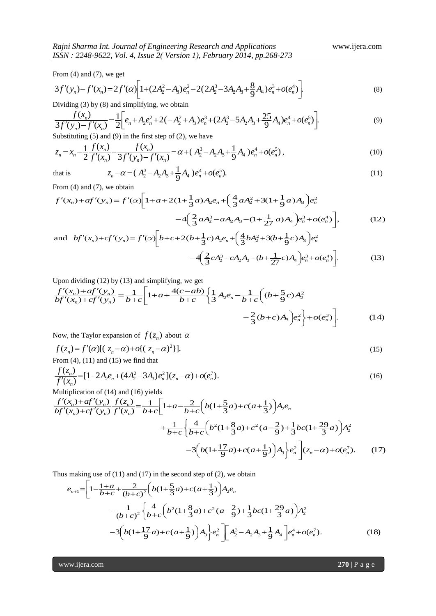From  $(4)$  and  $(7)$ , we get

$$
3f'(y_n) - f'(x_n) = 2f'(\alpha) \left[ 1 + (2A_2^2 - A_3)e_n^2 - 2(2A_2^3 - 3A_2A_3 + \frac{8}{9}A_4)e_n^3 + o(e_n^4) \right].
$$
\n(8)

Dividing (3) by (8) and simplifying, we obtain

$$
\frac{f(x_n)}{3f'(y_n) - f'(x_n)} = \frac{1}{2} \bigg[ e_n + A_2 e_n^2 + 2(-A_2^2 + A_3)e_n^3 + (2A_2^3 - 5A_2A_3 + \frac{25}{9}A_4)e_n^4 + o(e_n^5) \bigg].
$$
\n(9)

Substituting  $(5)$  and  $(9)$  in the first step of  $(2)$ , we have

$$
z_n = x_n - \frac{1}{2} \frac{f(x_n)}{f'(x_n)} - \frac{f(x_n)}{3f'(x_n) - f'(x_n)} = \alpha + (A_2^3 - A_2A_3 + \frac{1}{9}A_4) e_n^4 + o(e_n^5),
$$
\n(10)

that is

$$
z_n - \alpha = (A_2^3 - A_2 A_3 + \frac{1}{9} A_4) e_n^4 + o(e_n^5).
$$
 (11)

From (4) and (7), we obtain

$$
f'(x_n) + af'(y_n) = f'(\alpha) \left[ 1 + a + 2(1 + \frac{1}{3}a)A_2 e_n + \left( \frac{4}{3} a A_2^2 + 3(1 + \frac{1}{9}a)A_3 \right) e_n^2 - 4 \left( \frac{2}{3} a A_2^3 - a A_2 A_3 - (1 + \frac{1}{27}a)A_4 \right) e_n^3 + o(e_n^4) \right],
$$
 (12)

and 
$$
bf'(x_n) + cf'(y_n) = f'(\alpha) \bigg[ b + c + 2(b + \frac{1}{3}c)A_2e_n + \bigg(\frac{4}{3}bA_2^2 + 3(b + \frac{1}{9}c)A_3\bigg)e_n^2
$$
  

$$
-4\bigg(\frac{2}{3}cA_2^3 - cA_2A_3 - (b + \frac{1}{27}c)A_4\bigg)e_n^3 + o(e_n^4)\bigg].
$$
 (13)

Upon dividing (12) by (13) and simplifying, we get

$$
\frac{f'(x_n) + af'(y_n)}{bf'(x_n) + cf'(y_n)} = \frac{1}{b+c} \left[ 1 + a + \frac{4(c-ab)}{b+c} \left\{ \frac{1}{3} A_2 e_n - \frac{1}{b+c} \left( (b + \frac{5}{9}c) A_2^2 - \frac{2}{3} (b+c) A_3 \right) e_n^2 \right\} + o(e_n^3) \right].
$$
\n(14)

Now, the Taylor expansion of  $f(z_n)$  about  $\alpha$ 

$$
f(z_n) = f'(\alpha)[(z_n - \alpha) + o\{(z_n - \alpha)^2\}].
$$
  
From (4), (11) and (15) we find that

$$
\frac{f(z_n)}{f'(x_n)} = [1 - 2A_2 e_n + (4A_2^2 - 3A_3)e_n^2](z_n - \alpha) + o(e_n^7).
$$
\n(16)

Multiplication of (14) and (16) yields

$$
\frac{f'(x_n) + af'(y_n) f(z_n)}{bf'(x_n) + cf'(y_n) f'(x_n)} = \frac{1}{b+c} \left[ 1 + a - \frac{2}{b+c} \left( b(1 + \frac{5}{3}a) + c(a + \frac{1}{3}) \right) A_2 e_n + \frac{1}{b+c} \left( \frac{4}{b+c} \left( b^2(1 + \frac{8}{3}a) + c^2(a - \frac{2}{9}) + \frac{1}{3} bc(1 + \frac{29}{3}a) \right) A_2^2 - 3 \left( b(1 + \frac{17}{9}a) + c(a + \frac{1}{9}) \right) A_3 \right) e_n^2 \right] (z_n - \alpha) + o(e_n^7).
$$
 (17)

Thus making use of (11) and (17) in the second step of (2), we obtain

$$
e_{n+1} = \left[1 - \frac{1+a}{b+c} + \frac{2}{(b+c)^2} \left(b(1+\frac{5}{3}a) + c(a+\frac{1}{3})\right) A_2 e_n - \frac{1}{(b+c)^2} \left\{\frac{4}{b+c} \left(b^2(1+\frac{8}{3}a) + c^2(a-\frac{2}{9}) + \frac{1}{3}bc(1+\frac{29}{3}a)\right) A_2^2 - 3\left(b(1+\frac{17}{9}a) + c(a+\frac{1}{9})\right) A_3\right\} e_n^2 \right] \left[A_2^3 - A_2 A_3 + \frac{1}{9} A_4\right] e_n^4 + o(e_n^7).
$$
 (18)

www.ijera.com **270** | P a g e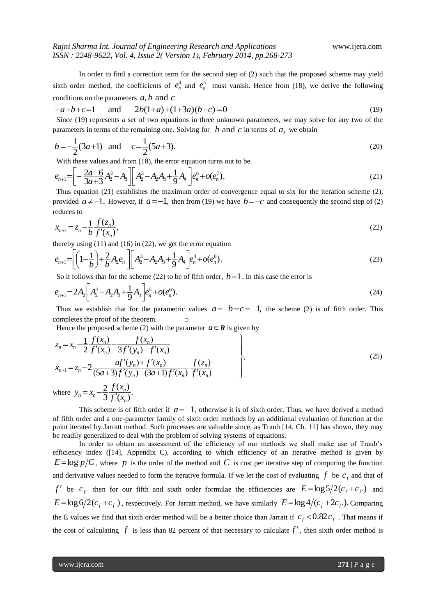In order to find a correction term for the second step of (2) such that the proposed scheme may yield sixth order method, the coefficients of  $e_n^4$  and  $e_n^5$  must vanish. Hence from (18), we derive the following conditions on the parameters *a*, *b* and *c*

$$
-a+b+c=1 \quad \text{and} \quad 2b(1+a)+(1+3a)(b+c)=0 \tag{19}
$$

 Since (19) represents a set of two equations in three unknown parameters, we may solve for any two of the parameters in terms of the remaining one. Solving for  $\,b\,$  and  $\,c\,$  in terms of  $\,a$ , we obtain

$$
b = -\frac{1}{2}(3a+1) \quad \text{and} \quad c = \frac{1}{2}(5a+3). \tag{20}
$$

With these values and from (18), the error equation turns out to be

$$
e_{n+1} = \left[ -\frac{2a-6}{3a+3}A_2^2 - A_3 \right] \left[ A_2^3 - A_2 A_3 + \frac{1}{9} A_4 \right] e_n^6 + o(e_n^7). \tag{21}
$$

 Thus equation (21) establishes the maximum order of convergence equal to six for the iteration scheme (2), provided  $a \neq -1$ . However, if  $a = -1$ , then from (19) we have  $b = -c$  and consequently the second step of (2) reduces to

$$
x_{n+1} = z_n - \frac{1}{b} \frac{f(z_n)}{f'(x_n)},
$$
\n(22)

thereby using (11) and (16) in (22), we get the error equation

$$
e_{n+1} = \left[ \left( 1 - \frac{1}{b} \right) + \frac{2}{b} A_2 e_n \right] \left[ A_2^3 - A_2 A_3 + \frac{1}{9} A_4 \right] e_n^4 + o(e_n^6). \tag{23}
$$

So it follows that for the scheme (22) to be of fifth order,  $b=1$ . In this case the error is

$$
e_{n+1} = 2A_2 \left[ A_2^3 - A_2 A_3 + \frac{1}{9} A_4 \right] e_n^5 + o(e_n^6). \tag{24}
$$

Thus we establish that for the parametric values  $a = -b = c = -1$ , the scheme (2) is of fifth order. This completes the proof of the theorem.  $□$ 

Hence the proposed scheme (2) with the parameter  $a \in \mathbb{R}$  is given by

$$
z_n = x_n - \frac{1}{2} \frac{f(x_n)}{f'(x_n)} - \frac{f(x_n)}{3f'(y_n) - f'(x_n)}
$$
  
\n
$$
x_{n+1} = z_n - 2 \frac{af'(y_n) + f'(x_n)}{(5a+3)f'(y_n) - (3a+1)f'(x_n)} \frac{f(z_n)}{f'(x_n)}
$$
  
\nwhere  $y_n = x_n - \frac{2}{3} \frac{f(x_n)}{f'(x_n)}$ . (25)

This scheme is of fifth order if  $a = -1$ , otherwise it is of sixth order. Thus, we have derived a method of fifth order and a one-parameter family of sixth order methods by an additional evaluation of function at the point iterated by Jarratt method. Such processes are valuable since, as Traub [14, Ch. 11] has shown, they may be readily generalized to deal with the problem of solving systems of equations.

In order to obtain an assessment of the efficiency of our methods we shall make use of Traub's efficiency index ([14], Appendix C), according to which efficiency of an iterative method is given by  $E = \log p/C$ , where p is the order of the method and C is cost per iterative step of computing the function and derivative values needed to form the iterative formula. If we let the cost of evaluating  $f$  be  $c_f$  and that of *f*<sup>'</sup> be  $c_f$  then for our fifth and sixth order formulae the efficiencies are  $E = \log 5/2(c_f + c_f)$  and  $E = \log 6/2(c_f + c_{f'})$ , respectively. For Jarratt method, we have similarly  $E = \log 4/(c_f + 2c_{f'})$ . Comparing the E values we find that sixth order method will be a better choice than Jarratt if  $c_f < 0.82 c_{f'}$ . That means if the cost of calculating  $f$  is less than 82 percent of that necessary to calculate  $f'$ , then sixth order method is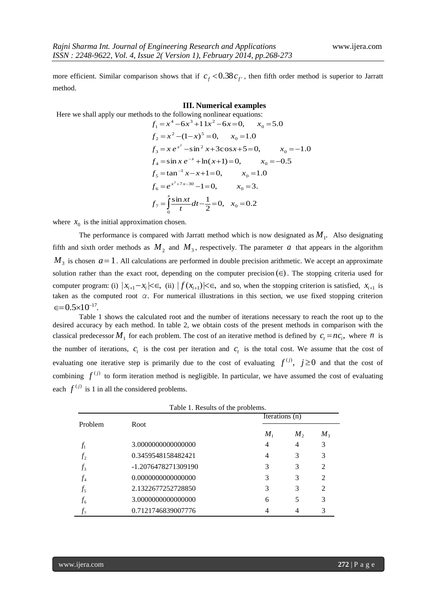more efficient. Similar comparison shows that if  $c_f < 0.38 c_{f'}$ , then fifth order method is superior to Jarratt method.

### **III. Numerical examples**

Here we shall apply our methods to the following nonlinear equations:  $x_0 = 5.0$ 

$$
f_1 = x^4 - 6x^3 + 11x^2 - 6x = 0, \t x_0 = 5.0
$$
  
\n
$$
f_2 = x^2 - (1 - x)^5 = 0, \t x_0 = 1.0
$$
  
\n
$$
f_3 = x e^{x^2} - \sin^2 x + 3\cos x + 5 = 0, \t x_0 = -1.0
$$
  
\n
$$
f_4 = \sin x e^{-x} + \ln(x + 1) = 0, \t x_0 = -0.5
$$
  
\n
$$
f_5 = \tan^{-1} x - x + 1 = 0, \t x_0 = 1.0
$$
  
\n
$$
f_6 = e^{x^2 + 7x - 30} - 1 = 0, \t x_0 = 3.
$$
  
\n
$$
f_7 = \int_0^x \frac{\sin xt}{t} dt - \frac{1}{2} = 0, \t x_0 = 0.2
$$

where  $x_0$  is the initial approximation chosen.

The performance is compared with Jarratt method which is now designated as  $M_1$ . Also designating fifth and sixth order methods as  $M_2$  and  $M_3$ , respectively. The parameter a that appears in the algorithm  $M<sub>3</sub>$  is chosen  $a=1$ . All calculations are performed in double precision arithmetic. We accept an approximate solution rather than the exact root, depending on the computer precision  $(\in)$ . The stopping criteria used for computer program: (i)  $|x_{i+1} - x_i| \le \epsilon$ , (ii)  $|f(x_{i+1})| \le \epsilon$ , and so, when the stopping criterion is satisfied,  $x_{i+1}$  is taken as the computed root *α*. For numerical illustrations in this section, we use fixed stopping criterion  $\epsilon = 0.5 \times 10^{-17}$ .

Table 1 shows the calculated root and the number of iterations necessary to reach the root up to the desired accuracy by each method. In table 2, we obtain costs of the present methods in comparison with the classical predecessor  $M_1$  for each problem. The cost of an iterative method is defined by  $c_t = nc_i$ , where *n* is the number of iterations,  $c_i$  is the cost per iteration and  $c_i$  is the total cost. We assume that the cost of evaluating one iterative step is primarily due to the cost of evaluating  $f^{(j)}$ ,  $j \ge 0$  and that the cost of combining  $f^{(j)}$  to form iteration method is negligible. In particular, we have assumed the cost of evaluating each  $f^{(j)}$  is 1 in all the considered problems.

| rable 1. Results of the problems. |                     |                |              |         |
|-----------------------------------|---------------------|----------------|--------------|---------|
| Problem                           |                     | Iterations (n) |              |         |
|                                   | Root                | $M_{1}$        | $M_{\rm{2}}$ | $M_{3}$ |
| $f_1$                             | 3.0000000000000000  | 4              | 4            | 3       |
| $f_2$                             | 0.3459548158482421  | 4              | 3            | 3       |
| $f_3$                             | -1.2076478271309190 | 3              | 3            | 2       |
| $f_4$                             | 0.0000000000000000  | 3              | 3            | 2       |
| $f_5$                             | 2.1322677252728850  | 3              | 3            | 2       |
| $f_{6}$                           | 3.0000000000000000  | 6              | 5            | 3       |
| $f_7$                             | 0.7121746839007776  |                | 4            | 3       |

Table 1. Results of the problems.